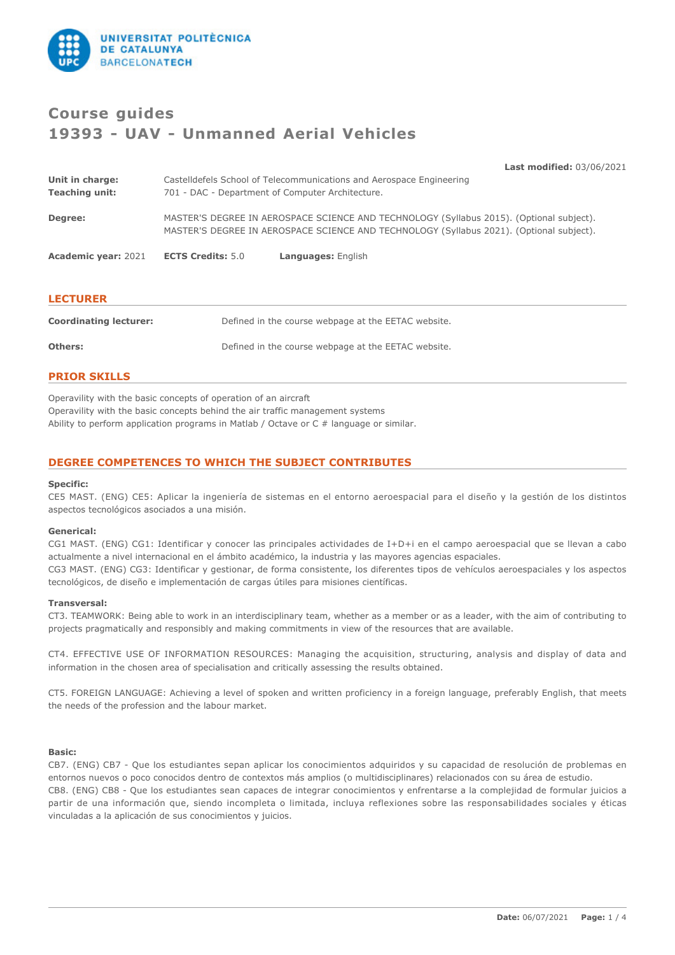

# **Course guides 19393 - UAV - Unmanned Aerial Vehicles**

**Last modified:** 03/06/2021

| Unit in charge:<br><b>Teaching unit:</b> | Castelldefels School of Telecommunications and Aerospace Engineering<br>701 - DAC - Department of Computer Architecture. |                                                                                                                                                                                      |  |
|------------------------------------------|--------------------------------------------------------------------------------------------------------------------------|--------------------------------------------------------------------------------------------------------------------------------------------------------------------------------------|--|
| Degree:                                  |                                                                                                                          | MASTER'S DEGREE IN AEROSPACE SCIENCE AND TECHNOLOGY (Syllabus 2015). (Optional subject).<br>MASTER'S DEGREE IN AEROSPACE SCIENCE AND TECHNOLOGY (Syllabus 2021). (Optional subject). |  |
| <b>Academic year: 2021</b>               | <b>ECTS Credits: 5.0</b>                                                                                                 | <b>Languages: English</b>                                                                                                                                                            |  |

| <b>LECTURER</b>               |                                                     |
|-------------------------------|-----------------------------------------------------|
| <b>Coordinating lecturer:</b> | Defined in the course webpage at the EETAC website. |
| Others:                       | Defined in the course webpage at the EETAC website. |

# **PRIOR SKILLS**

Operavility with the basic concepts of operation of an aircraft Operavility with the basic concepts behind the air traffic management systems Ability to perform application programs in Matlab / Octave or C # language or similar.

# **DEGREE COMPETENCES TO WHICH THE SUBJECT CONTRIBUTES**

#### **Specific:**

CE5 MAST. (ENG) CE5: Aplicar la ingeniería de sistemas en el entorno aeroespacial para el diseño y la gestión de los distintos aspectos tecnológicos asociados a una misión.

#### **Generical:**

CG1 MAST. (ENG) CG1: Identificar y conocer las principales actividades de I+D+i en el campo aeroespacial que se llevan a cabo actualmente a nivel internacional en el ámbito académico, la industria y las mayores agencias espaciales. CG3 MAST. (ENG) CG3: Identificar y gestionar, de forma consistente, los diferentes tipos de vehículos aeroespaciales y los aspectos

tecnológicos, de diseño e implementación de cargas útiles para misiones científicas.

#### **Transversal:**

CT3. TEAMWORK: Being able to work in an interdisciplinary team, whether as a member or as a leader, with the aim of contributing to projects pragmatically and responsibly and making commitments in view of the resources that are available.

CT4. EFFECTIVE USE OF INFORMATION RESOURCES: Managing the acquisition, structuring, analysis and display of data and information in the chosen area of specialisation and critically assessing the results obtained.

CT5. FOREIGN LANGUAGE: Achieving a level of spoken and written proficiency in a foreign language, preferably English, that meets the needs of the profession and the labour market.

### **Basic:**

CB7. (ENG) CB7 - Que los estudiantes sepan aplicar los conocimientos adquiridos y su capacidad de resolución de problemas en entornos nuevos o poco conocidos dentro de contextos más amplios (o multidisciplinares) relacionados con su área de estudio. CB8. (ENG) CB8 - Que los estudiantes sean capaces de integrar conocimientos y enfrentarse a la complejidad de formular juicios a partir de una información que, siendo incompleta o limitada, incluya reflexiones sobre las responsabilidades sociales y éticas vinculadas a la aplicación de sus conocimientos y juicios.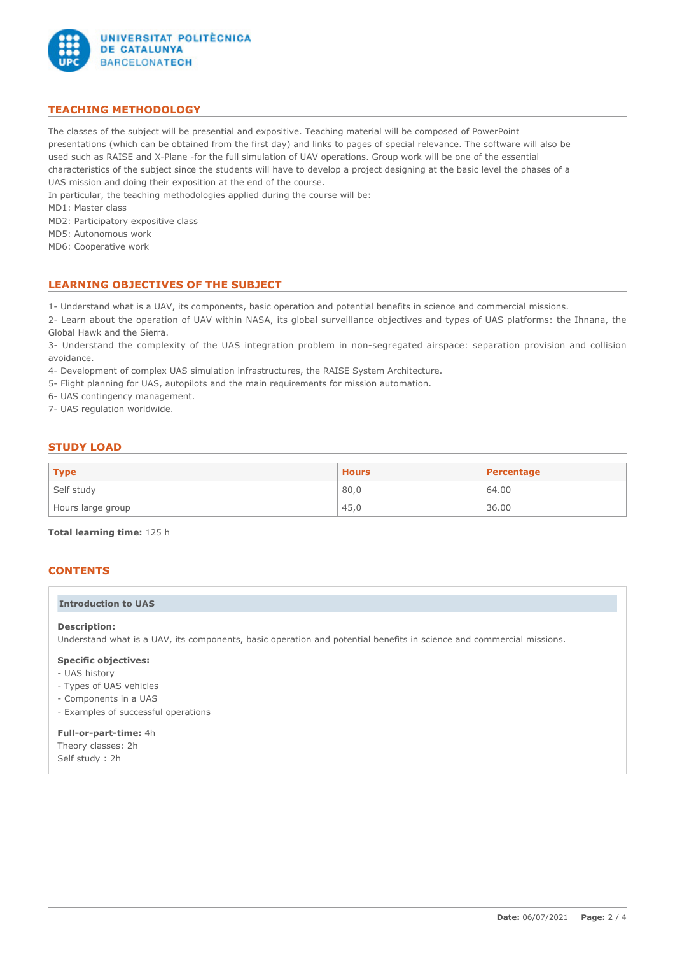

# **TEACHING METHODOLOGY**

The classes of the subject will be presential and expositive. Teaching material will be composed of PowerPoint presentations (which can be obtained from the first day) and links to pages of special relevance. The software will also be used such as RAISE and X-Plane -for the full simulation of UAV operations. Group work will be one of the essential characteristics of the subject since the students will have to develop a project designing at the basic level the phases of a UAS mission and doing their exposition at the end of the course.

In particular, the teaching methodologies applied during the course will be:

MD1: Master class

MD2: Participatory expositive class

MD5: Autonomous work

MD6: Cooperative work

# **LEARNING OBJECTIVES OF THE SUBJECT**

1- Understand what is a UAV, its components, basic operation and potential benefits in science and commercial missions.

2- Learn about the operation of UAV within NASA, its global surveillance objectives and types of UAS platforms: the Ihnana, the Global Hawk and the Sierra.

3- Understand the complexity of the UAS integration problem in non-segregated airspace: separation provision and collision avoidance.

4- Development of complex UAS simulation infrastructures, the RAISE System Architecture.

5- Flight planning for UAS, autopilots and the main requirements for mission automation.

6- UAS contingency management.

7- UAS regulation worldwide.

# **STUDY LOAD**

| $\mid$ Type       | <b>Hours</b> | Percentage |
|-------------------|--------------|------------|
| Self study        | 80,0         | 64.00      |
| Hours large group | 45,0         | 36.00      |

**Total learning time:** 125 h

# **CONTENTS**

### **Introduction to UAS**

#### **Description:**

Understand what is a UAV, its components, basic operation and potential benefits in science and commercial missions.

#### **Specific objectives:**

- UAS history
- Types of UAS vehicles
- Components in a UAS
- Examples of successful operations

# **Full-or-part-time:** 4h Theory classes: 2h

Self study : 2h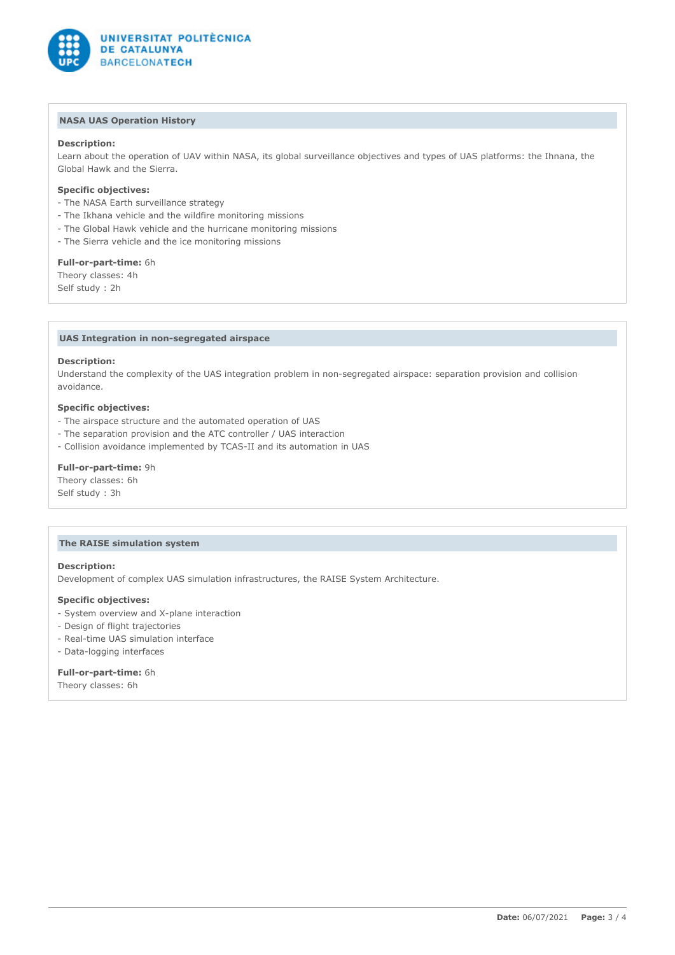

### **NASA UAS Operation History**

### **Description:**

Learn about the operation of UAV within NASA, its global surveillance objectives and types of UAS platforms: the Ihnana, the Global Hawk and the Sierra.

#### **Specific objectives:**

- The NASA Earth surveillance strategy
- The Ikhana vehicle and the wildfire monitoring missions
- The Global Hawk vehicle and the hurricane monitoring missions
- The Sierra vehicle and the ice monitoring missions

#### **Full-or-part-time:** 6h

Theory classes: 4h Self study : 2h

### **UAS Integration in non-segregated airspace**

#### **Description:**

Understand the complexity of the UAS integration problem in non-segregated airspace: separation provision and collision avoidance.

### **Specific objectives:**

- The airspace structure and the automated operation of UAS
- The separation provision and the ATC controller / UAS interaction
- Collision avoidance implemented by TCAS-II and its automation in UAS

#### **Full-or-part-time:** 9h

Theory classes: 6h Self study : 3h

#### **The RAISE simulation system**

#### **Description:**

Development of complex UAS simulation infrastructures, the RAISE System Architecture.

#### **Specific objectives:**

- System overview and X-plane interaction
- Design of flight trajectories
- Real-time UAS simulation interface
- Data-logging interfaces

#### **Full-or-part-time:** 6h

Theory classes: 6h